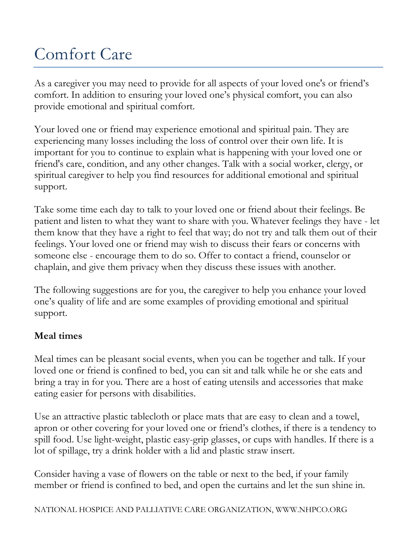## Comfort Care

As a caregiver you may need to provide for all aspects of your loved one's or friend's comfort. In addition to ensuring your loved one's physical comfort, you can also provide emotional and spiritual comfort.

Your loved one or friend may experience emotional and spiritual pain. They are experiencing many losses including the loss of control over their own life. It is important for you to continue to explain what is happening with your loved one or friend's care, condition, and any other changes. Talk with a social worker, clergy, or spiritual caregiver to help you find resources for additional emotional and spiritual support.

Take some time each day to talk to your loved one or friend about their feelings. Be patient and listen to what they want to share with you. Whatever feelings they have - let them know that they have a right to feel that way; do not try and talk them out of their feelings. Your loved one or friend may wish to discuss their fears or concerns with someone else - encourage them to do so. Offer to contact a friend, counselor or chaplain, and give them privacy when they discuss these issues with another.

The following suggestions are for you, the caregiver to help you enhance your loved one's quality of life and are some examples of providing emotional and spiritual support.

## **Meal times**

Meal times can be pleasant social events, when you can be together and talk. If your loved one or friend is confined to bed, you can sit and talk while he or she eats and bring a tray in for you. There are a host of eating utensils and accessories that make eating easier for persons with disabilities.

Use an attractive plastic tablecloth or place mats that are easy to clean and a towel, apron or other covering for your loved one or friend's clothes, if there is a tendency to spill food. Use light-weight, plastic easy-grip glasses, or cups with handles. If there is a lot of spillage, try a drink holder with a lid and plastic straw insert.

Consider having a vase of flowers on the table or next to the bed, if your family member or friend is confined to bed, and open the curtains and let the sun shine in.